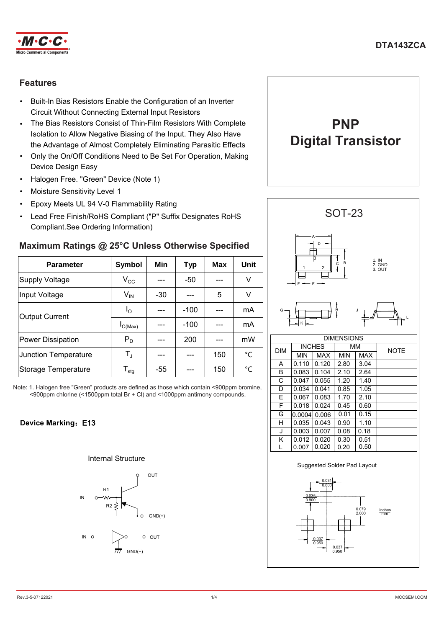

### **Features**

- Built-In Bias Resistors Enable the Configuration of an Inverter Circuit Without Connecting External Input Resistors
- The Bias Resistors Consist of Thin-Film Resistors With Complete Isolation to Allow Negative Biasing of the Input. They Also Have the Advantage of Almost Completely Eliminating Parasitic Effects
- Only the On/Off Conditions Need to Be Set For Operation, Making Device Design Easy
- Halogen Free. "Green" Device (Note 1)
- Moisture Sensitivity Level 1
- Epoxy Meets UL 94 V-0 Flammability Rating
- Lead Free Finish/RoHS Compliant ("P" Suffix Designates RoHS Compliant.See Ordering Information)

## **Maximum Ratings @ 25°C Unless Otherwise Specified**

| <b>Parameter</b>         | Symbol                       | Min   | <b>Typ</b> | <b>Max</b> | Unit |            |            | $\overline{3}$<br>2 |
|--------------------------|------------------------------|-------|------------|------------|------|------------|------------|---------------------|
| <b>Supply Voltage</b>    | $\rm V_{CC}$                 |       | $-50$      |            | V    |            |            | F                   |
| Input Voltage            | $V_{\text{IN}}$              | $-30$ |            | 5          | V    |            |            |                     |
| <b>Output Current</b>    | l <sub>O</sub>               |       | $-100$     |            | mA   | $G -$      |            |                     |
|                          | IC(Max)                      |       | $-100$     |            | mA   |            |            |                     |
| <b>Power Dissipation</b> | $P_D$                        |       | 200        |            | mW   |            |            |                     |
| Junction Temperature     | $\mathsf{T}_{\mathrm{J}}$    |       |            | 150        | °C   | <b>DIM</b> | <b>MIN</b> | <b>INCHES</b><br>M/ |
|                          |                              |       |            |            |      | A          | 0.110      | 0.1                 |
| Storage Temperature      | ${\mathsf T}_{\textsf{stg}}$ | $-55$ |            | 150        | °C   | B          | 0.083      | 0.1                 |

Note: 1. Halogen free "Green" products are defined as those which contain <900ppm bromine, <900ppm chlorine (<1500ppm total Br + Cl) and <1000ppm antimony compounds.

### **Device Marking: E13**

#### Internal Structure









K  $\vert 0.012 \vert 0.020 \vert 0.30 \vert 0.51$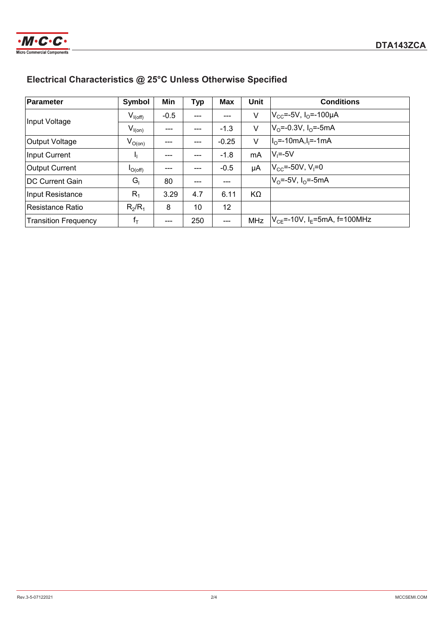

# **Electrical Characteristics @ 25°C Unless Otherwise Specified**

| Parameter                   | Symbol       | Min    | <b>Typ</b> | <b>Max</b> | <b>Unit</b> | <b>Conditions</b>                              |
|-----------------------------|--------------|--------|------------|------------|-------------|------------------------------------------------|
| Input Voltage               | $V_{I(off)}$ | $-0.5$ | $---$      | $---$      | V           | $ V_{CC}$ =-5V, I <sub>O</sub> =-100µA         |
|                             | $V_{I(0n)}$  | ---    | $---$      | $-1.3$     | V           | $V_0$ =-0.3V, I <sub>o</sub> =-5mA             |
| Output Voltage              | $V_{O(0n)}$  | ---    | $---$      | $-0.25$    | V           | $I_0$ =-10mA, $I_1$ =-1mA                      |
| Input Current               |              |        |            | $-1.8$     | mA          | $V_i = -5V$                                    |
| <b>Output Current</b>       | $I_{O(off)}$ | ---    | $---$      | $-0.5$     | μA          | $ V_{CC}$ =-50V, V <sub>I</sub> =0             |
| <b>IDC Current Gain</b>     | $G_I$        | 80     | $---$      | ---        |             | $V_0 = -5V$ , $I_0 = -5mA$                     |
| Input Resistance            | $R_1$        | 3.29   | 4.7        | 6.11       | KΩ          |                                                |
| Resistance Ratio            | $R_2/R_1$    | 8      | 10         | 12         |             |                                                |
| <b>Transition Frequency</b> | $f_T$        | ---    | 250        | ---        | MHz         | $ V_{CE}$ =-10V, I <sub>E</sub> =5mA, f=100MHz |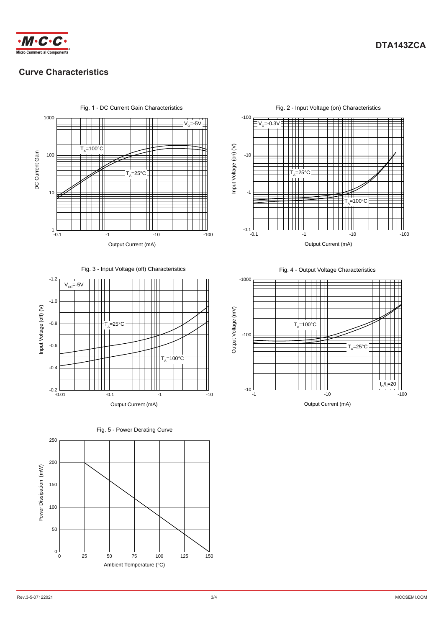



### **Curve Characteristics**



Fig. 3 - Input Voltage (off) Characteristics







Fig. 2 - Input Voltage (on) Characteristics



Fig. 4 - Output Voltage Characteristics